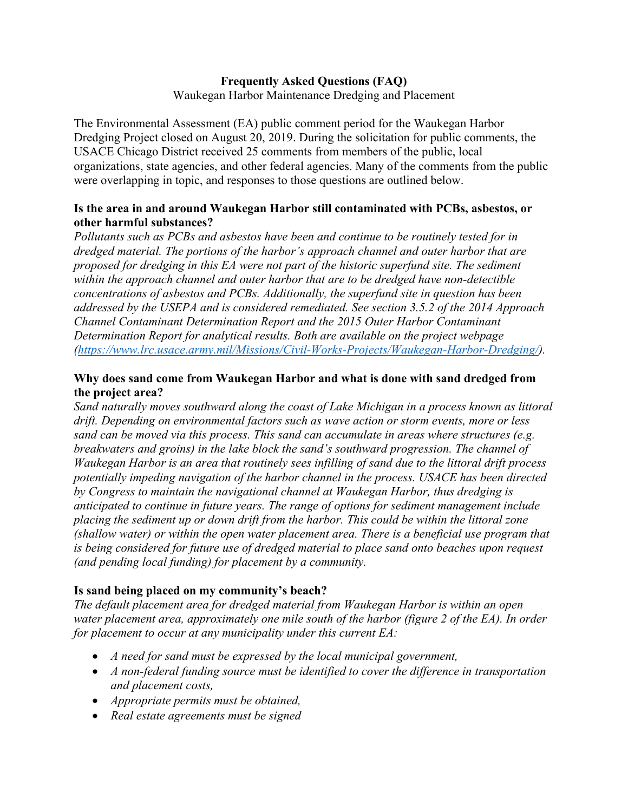# **Frequently Asked Questions (FAQ)**

Waukegan Harbor Maintenance Dredging and Placement

The Environmental Assessment (EA) public comment period for the Waukegan Harbor Dredging Project closed on August 20, 2019. During the solicitation for public comments, the USACE Chicago District received 25 comments from members of the public, local organizations, state agencies, and other federal agencies. Many of the comments from the public were overlapping in topic, and responses to those questions are outlined below.

## **Is the area in and around Waukegan Harbor still contaminated with PCBs, asbestos, or other harmful substances?**

*Pollutants such as PCBs and asbestos have been and continue to be routinely tested for in dredged material. The portions of the harbor's approach channel and outer harbor that are proposed for dredging in this EA were not part of the historic superfund site. The sediment within the approach channel and outer harbor that are to be dredged have non-detectible concentrations of asbestos and PCBs. Additionally, the superfund site in question has been addressed by the USEPA and is considered remediated. See section 3.5.2 of the 2014 Approach Channel Contaminant Determination Report and the 2015 Outer Harbor Contaminant Determination Report for analytical results. Both are available on the project webpage [\(https://www.lrc.usace.army.mil/Missions/Civil-Works-Projects/Waukegan-Harbor-Dredging/\)](https://www.lrc.usace.army.mil/Missions/Civil-Works-Projects/Waukegan-Harbor-Dredging/).* 

# **Why does sand come from Waukegan Harbor and what is done with sand dredged from the project area?**

*Sand naturally moves southward along the coast of Lake Michigan in a process known as littoral drift. Depending on environmental factors such as wave action or storm events, more or less sand can be moved via this process. This sand can accumulate in areas where structures (e.g. breakwaters and groins) in the lake block the sand's southward progression. The channel of Waukegan Harbor is an area that routinely sees infilling of sand due to the littoral drift process potentially impeding navigation of the harbor channel in the process. USACE has been directed by Congress to maintain the navigational channel at Waukegan Harbor, thus dredging is anticipated to continue in future years. The range of options for sediment management include placing the sediment up or down drift from the harbor. This could be within the littoral zone (shallow water) or within the open water placement area. There is a beneficial use program that is being considered for future use of dredged material to place sand onto beaches upon request (and pending local funding) for placement by a community.* 

## **Is sand being placed on my community's beach?**

*The default placement area for dredged material from Waukegan Harbor is within an open water placement area, approximately one mile south of the harbor (figure 2 of the EA). In order for placement to occur at any municipality under this current EA:*

- *A need for sand must be expressed by the local municipal government,*
- *A non-federal funding source must be identified to cover the difference in transportation and placement costs,*
- *Appropriate permits must be obtained,*
- *Real estate agreements must be signed*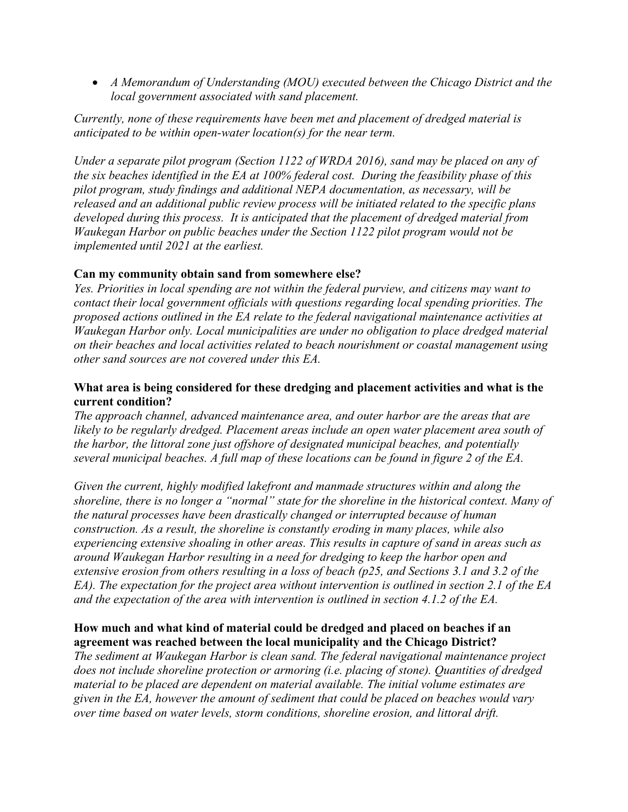• *A Memorandum of Understanding (MOU) executed between the Chicago District and the local government associated with sand placement.* 

*Currently, none of these requirements have been met and placement of dredged material is anticipated to be within open-water location(s) for the near term.* 

*Under a separate pilot program (Section 1122 of WRDA 2016), sand may be placed on any of the six beaches identified in the EA at 100% federal cost. During the feasibility phase of this pilot program, study findings and additional NEPA documentation, as necessary, will be released and an additional public review process will be initiated related to the specific plans developed during this process. It is anticipated that the placement of dredged material from Waukegan Harbor on public beaches under the Section 1122 pilot program would not be implemented until 2021 at the earliest.*

#### **Can my community obtain sand from somewhere else?**

*Yes. Priorities in local spending are not within the federal purview, and citizens may want to contact their local government officials with questions regarding local spending priorities. The proposed actions outlined in the EA relate to the federal navigational maintenance activities at Waukegan Harbor only. Local municipalities are under no obligation to place dredged material on their beaches and local activities related to beach nourishment or coastal management using other sand sources are not covered under this EA.*

#### **What area is being considered for these dredging and placement activities and what is the current condition?**

*The approach channel, advanced maintenance area, and outer harbor are the areas that are likely to be regularly dredged. Placement areas include an open water placement area south of the harbor, the littoral zone just offshore of designated municipal beaches, and potentially several municipal beaches. A full map of these locations can be found in figure 2 of the EA.* 

*Given the current, highly modified lakefront and manmade structures within and along the shoreline, there is no longer a "normal" state for the shoreline in the historical context. Many of the natural processes have been drastically changed or interrupted because of human construction. As a result, the shoreline is constantly eroding in many places, while also experiencing extensive shoaling in other areas. This results in capture of sand in areas such as around Waukegan Harbor resulting in a need for dredging to keep the harbor open and extensive erosion from others resulting in a loss of beach (p25, and Sections 3.1 and 3.2 of the EA). The expectation for the project area without intervention is outlined in section 2.1 of the EA and the expectation of the area with intervention is outlined in section 4.1.2 of the EA.* 

## **How much and what kind of material could be dredged and placed on beaches if an agreement was reached between the local municipality and the Chicago District?**

*The sediment at Waukegan Harbor is clean sand. The federal navigational maintenance project does not include shoreline protection or armoring (i.e. placing of stone). Quantities of dredged material to be placed are dependent on material available. The initial volume estimates are given in the EA, however the amount of sediment that could be placed on beaches would vary over time based on water levels, storm conditions, shoreline erosion, and littoral drift.*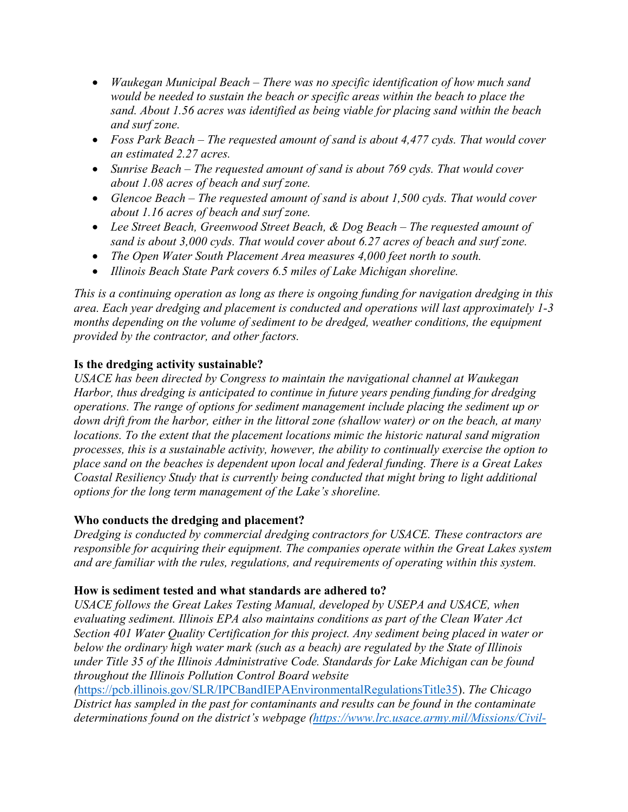- *Waukegan Municipal Beach – There was no specific identification of how much sand would be needed to sustain the beach or specific areas within the beach to place the sand. About 1.56 acres was identified as being viable for placing sand within the beach and surf zone.*
- *Foss Park Beach – The requested amount of sand is about 4,477 cyds. That would cover an estimated 2.27 acres.*
- *Sunrise Beach – The requested amount of sand is about 769 cyds. That would cover about 1.08 acres of beach and surf zone.*
- *Glencoe Beach – The requested amount of sand is about 1,500 cyds. That would cover about 1.16 acres of beach and surf zone.*
- *Lee Street Beach, Greenwood Street Beach, & Dog Beach – The requested amount of sand is about 3,000 cyds. That would cover about 6.27 acres of beach and surf zone.*
- *The Open Water South Placement Area measures 4,000 feet north to south.*
- *Illinois Beach State Park covers 6.5 miles of Lake Michigan shoreline.*

*This is a continuing operation as long as there is ongoing funding for navigation dredging in this area. Each year dredging and placement is conducted and operations will last approximately 1-3 months depending on the volume of sediment to be dredged, weather conditions, the equipment provided by the contractor, and other factors.* 

# **Is the dredging activity sustainable?**

*USACE has been directed by Congress to maintain the navigational channel at Waukegan Harbor, thus dredging is anticipated to continue in future years pending funding for dredging operations. The range of options for sediment management include placing the sediment up or down drift from the harbor, either in the littoral zone (shallow water) or on the beach, at many locations. To the extent that the placement locations mimic the historic natural sand migration processes, this is a sustainable activity, however, the ability to continually exercise the option to place sand on the beaches is dependent upon local and federal funding. There is a Great Lakes Coastal Resiliency Study that is currently being conducted that might bring to light additional options for the long term management of the Lake's shoreline.* 

## **Who conducts the dredging and placement?**

*Dredging is conducted by commercial dredging contractors for USACE. These contractors are responsible for acquiring their equipment. The companies operate within the Great Lakes system and are familiar with the rules, regulations, and requirements of operating within this system.* 

## **How is sediment tested and what standards are adhered to?**

*USACE follows the Great Lakes Testing Manual, developed by USEPA and USACE, when evaluating sediment. Illinois EPA also maintains conditions as part of the Clean Water Act Section 401 Water Quality Certification for this project. Any sediment being placed in water or below the ordinary high water mark (such as a beach) are regulated by the State of Illinois under Title 35 of the Illinois Administrative Code. Standards for Lake Michigan can be found throughout the Illinois Pollution Control Board website* 

*(*[https://pcb.illinois.gov/SLR/IPCBandIEPAEnvironmentalRegulationsTitle35\)](https://pcb.illinois.gov/SLR/IPCBandIEPAEnvironmentalRegulationsTitle35). *The Chicago District has sampled in the past for contaminants and results can be found in the contaminate determinations found on the district's webpage [\(https://www.lrc.usace.army.mil/Missions/Civil-](https://www.lrc.usace.army.mil/Missions/Civil-Works-Projects/Waukegan-Harbor-Dredging/)*